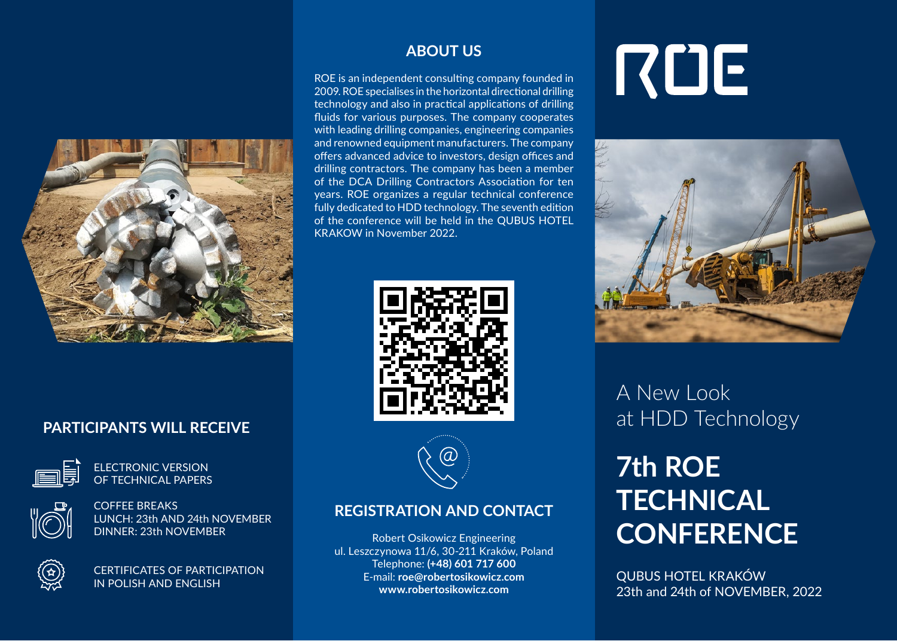

# **PARTICIPANTS WILL RECEIVE**



ELECTRONIC VERSION OF TECHNICAL PAPERS



COFFEE BREAKS LUNCH: 23th AND 24th NOVEMBER DINNER: 23th NOVEMBER



CERTIFICATES OF PARTICIPATION IN POLISH AND ENGLISH

# **ABOUT US**

ROE is an independent consulting company founded in 2009. ROE specialises in the horizontal directional drilling technology and also in practical applications of drilling fluids for various purposes. The company cooperates with leading drilling companies, engineering companies and renowned equipment manufacturers. The company offers advanced advice to investors, design offices and drilling contractors. The company has been a member of the DCA Drilling Contractors Association for ten years. ROE organizes a regular technical conference fully dedicated to HDD technology. The seventh edition of the conference will be held in the QUBUS HOTEL KRAKOW in November 2022.





### **REGISTRATION AND CONTACT**

Robert Osikowicz Engineering ul. Leszczynowa 11/6, 30-211 Kraków, Poland Telephone: **(+48) 601 717 600** E-mail: **roe@robertosikowicz.com www.robertosikowicz.com**

# RUE



A New Look at HDD Technology

# **7th ROE TECHNICAL CONFERENCE**

QUBUS HOTEL KRAKÓW 23th and 24th of NOVEMBER, 2022